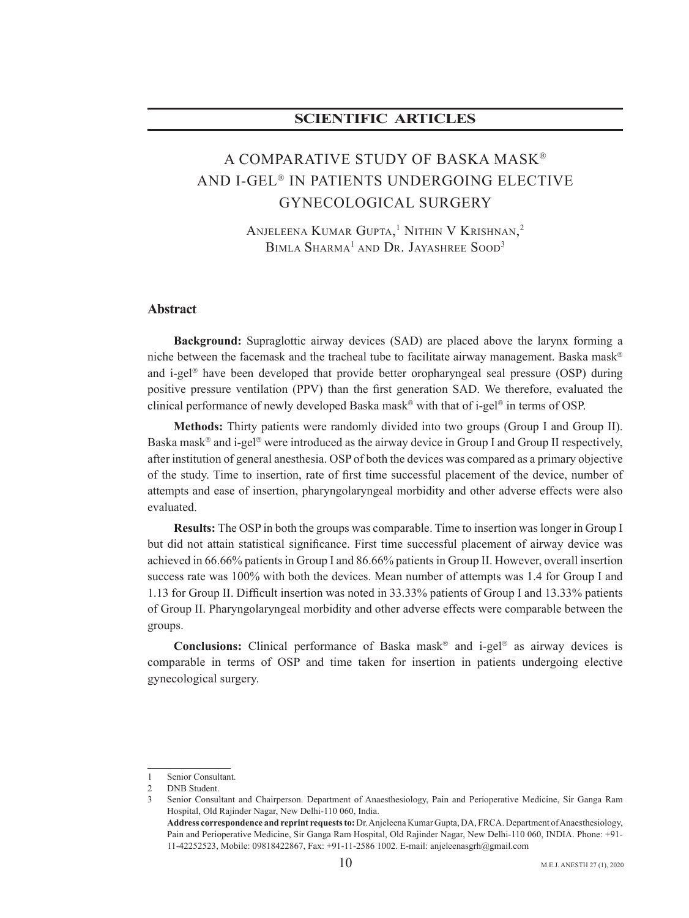# **accuration in the scientific contracts**

# A COMPARATIVE STUDY OF BASKA MASK® AND I-GEL® IN PATIENTS UNDERGOING ELECTIVE GYNECOLOGICAL SURGERY

Anjeleena Kumar Gupta, $^1$  Nithin V Krishnan, $^2$ BIMLA SHARMA<sup>1</sup> AND DR. JAYASHREE SOOD<sup>3</sup>

#### **Abstract**

**Background:** Supraglottic airway devices (SAD) are placed above the larynx forming a niche between the facemask and the tracheal tube to facilitate airway management. Baska mask<sup>®</sup> and i-gel<sup>®</sup> have been developed that provide better oropharyngeal seal pressure (OSP) during positive pressure ventilation (PPV) than the first generation SAD. We therefore, evaluated the clinical performance of newly developed Baska mask® with that of i-gel® in terms of OSP.

**Methods:** Thirty patients were randomly divided into two groups (Group I and Group II). Baska mask<sup>®</sup> and i-gel<sup>®</sup> were introduced as the airway device in Group I and Group II respectively, after institution of general anesthesia. OSP of both the devices was compared as a primary objective of the study. Time to insertion, rate of first time successful placement of the device, number of attempts and ease of insertion, pharyngolaryngeal morbidity and other adverse effects were also .evaluated

**Results:** The OSP in both the groups was comparable. Time to insertion was longer in Group I but did not attain statistical significance. First time successful placement of airway device was achieved in 66.66% patients in Group I and 86.66% patients in Group II. However, overall insertion success rate was 100% with both the devices. Mean number of attempts was 1.4 for Group I and 1.13 for Group II. Difficult insertion was noted in 33.33% patients of Group I and 13.33% patients of Group II. Pharyngolaryngeal morbidity and other adverse effects were comparable between the .groups

**Conclusions:** Clinical performance of Baska mask<sup>®</sup> and i-gel<sup>®</sup> as airway devices is comparable in terms of OSP and time taken for insertion in patients undergoing elective gynecological surgery.

Senior Consultant.

<sup>2</sup> DNB Student.

Senior Consultant and Chairperson. Department of Anaesthesiology, Pain and Perioperative Medicine, Sir Ganga Ram Hospital, Old Rajinder Nagar, New Delhi-110 060, India. Address correspondence and reprint requests to: Dr. Anjeleena Kumar Gupta, DA, FRCA. Department of Anaesthesiology,

Pain and Perioperative Medicine, Sir Ganga Ram Hospital, Old Rajinder Nagar, New Delhi-110 060, INDIA. Phone: +91-11-42252523, Mobile: 09818422867, Fax: +91-11-2586 1002. E-mail: anjeleenasgrh@gmail.com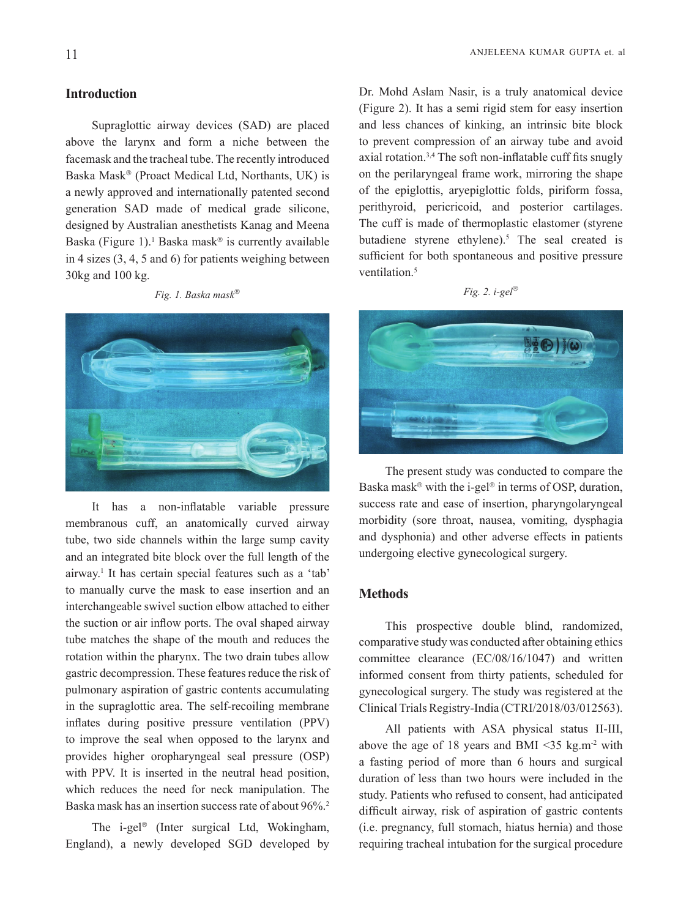## **Introduction**

Supraglottic airway devices (SAD) are placed above the larynx and form a niche between the facemask and the tracheal tube. The recently introduced Baska Mask® (Proact Medical Ltd, Northants, UK) is a newly approved and internationally patented second generation SAD made of medical grade silicone, designed by Australian anesthetists Kanag and Meena Baska (Figure 1).<sup>1</sup> Baska mask<sup>®</sup> is currently available in 4 sizes  $(3, 4, 5, \text{ and } 6)$  for patients weighing between  $30$ kg and  $100$  kg.

*Fig. 1. Baska mask*<sup>®</sup>



It has a non-inflatable variable pressure membranous cuff, an anatomically curved airway tube, two side channels within the large sump cavity and an integrated bite block over the full length of the airway.<sup>1</sup> It has certain special features such as a 'tab' to manually curve the mask to ease insertion and an interchangeable swivel suction elbow attached to either the suction or air inflow ports. The oval shaped airway tube matches the shape of the mouth and reduces the rotation within the pharynx. The two drain tubes allow gastric decompression. These features reduce the risk of pulmonary aspiration of gastric contents accumulating in the supraglottic area. The self-recoiling membrane inflates during positive pressure ventilation (PPV) to improve the seal when opposed to the larynx and provides higher oropharyngeal seal pressure (OSP) with PPV. It is inserted in the neutral head position, which reduces the need for neck manipulation. The Baska mask has an insertion success rate of about  $96\%$ <sup>2</sup>

The i-gel<sup>®</sup> (Inter surgical Ltd, Wokingham, England), a newly developed SGD developed by Dr. Mohd Aslam Nasir, is a truly anatomical device  $(Figure 2)$ . It has a semi rigid stem for easy insertion and less chances of kinking, an intrinsic bite block to prevent compression of an airway tube and avoid axial rotation.<sup>3,4</sup> The soft non-inflatable cuff fits snugly on the perilaryngeal frame work, mirroring the shape of the epiglottis, aryepiglottic folds, piriform fossa, perithyroid, pericricoid, and posterior cartilages. The cuff is made of thermoplastic elastomer (styrene butadiene styrene ethylene).<sup>5</sup> The seal created is sufficient for both spontaneous and positive pressure ventilation<sup>5</sup>

| $10^{\circ}$ / |  | $\sigma\rho$ |
|----------------|--|--------------|
|----------------|--|--------------|



The present study was conducted to compare the Baska mask® with the i-gel® in terms of OSP, duration, success rate and ease of insertion, pharyngolaryngeal morbidity (sore throat, nausea, vomiting, dysphagia and dysphonia) and other adverse effects in patients undergoing elective gynecological surgery.

#### **Methods**

This prospective double blind, randomized, comparative study was conducted after obtaining ethics committee clearance  $(EC/08/16/1047)$  and written informed consent from thirty patients, scheduled for gynecological surgery. The study was registered at the Clinical Trials Registry-India (CTRI/2018/03/012563).

All patients with ASA physical status II-III, above the age of 18 years and BMI  $\leq$ 35 kg.m<sup>-2</sup> with a fasting period of more than 6 hours and surgical duration of less than two hours were included in the study. Patients who refused to consent, had anticipated difficult airway, risk of aspiration of gastric contents  $(i.e.$  pregnancy, full stomach, hiatus hernia) and those requiring tracheal intubation for the surgical procedure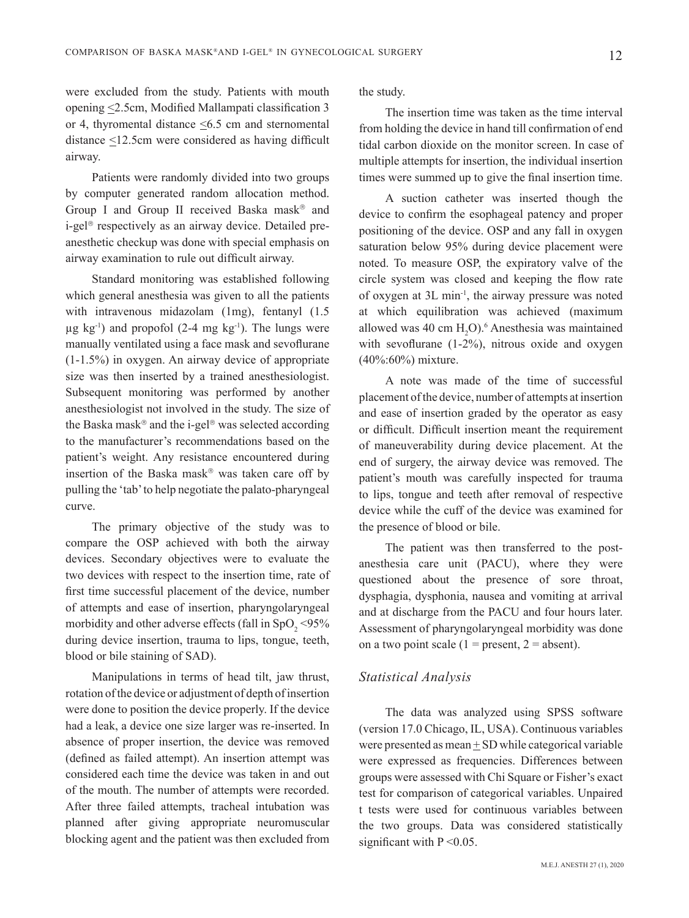were excluded from the study. Patients with mouth opening  $\leq$ 2.5 cm, Modified Mallampati classification 3 or 4, thyromental distance  $\leq 6.5$  cm and sternomental distance  $\leq 12.5$  cm were considered as having difficult .airway

Patients were randomly divided into two groups by computer generated random allocation method. Group I and Group II received Baska mask<sup>®</sup> and an esthetic checkup was done with special emphasis on i-gel<sup>®</sup> respectively as an airway device. Detailed preairway examination to rule out difficult airway.

Standard monitoring was established following which general anesthesia was given to all the patients with intravenous midazolam  $(1mg)$ , fentanyl  $(1.5$  $\mu$ g kg<sup>-1</sup>) and propofol (2-4 mg kg<sup>-1</sup>). The lungs were manually ventilated using a face mask and sevoflurane  $(1-1.5\%)$  in oxygen. An airway device of appropriate size was then inserted by a trained anesthesiologist. Subsequent monitoring was performed by another anesthesiologist not involved in the study. The size of the Baska mask<sup>®</sup> and the i-gel<sup>®</sup> was selected according to the manufacturer's recommendations based on the patient's weight. Any resistance encountered during insertion of the Baska mask $\mathscr P$  was taken care off by pulling the 'tab' to help negotiate the palato-pharyngeal .curve

The primary objective of the study was to compare the OSP achieved with both the airway devices. Secondary objectives were to evaluate the two devices with respect to the insertion time, rate of first time successful placement of the device, number of attempts and ease of insertion, pharyngolaryngeal morbidity and other adverse effects (fall in  $SpO_2$  <95% during device insertion, trauma to lips, tongue, teeth, blood or bile staining of SAD).

Manipulations in terms of head tilt, jaw thrust, rotation of the device or adjustment of depth of insertion were done to position the device properly. If the device had a leak, a device one size larger was re-inserted. In absence of proper insertion, the device was removed (defined as failed attempt). An insertion attempt was considered each time the device was taken in and out of the mouth. The number of attempts were recorded. After three failed attempts, tracheal intubation was planned after giving appropriate neuromuscular blocking agent and the patient was then excluded from

the study.

The insertion time was taken as the time interval from holding the device in hand till confirmation of end tidal carbon dioxide on the monitor screen. In case of multiple attempts for insertion, the individual insertion times were summed up to give the final insertion time.

A suction catheter was inserted though the device to confirm the esophageal patency and proper positioning of the device. OSP and any fall in oxygen saturation below 95% during device placement were noted. To measure OSP, the expiratory valve of the circle system was closed and keeping the flow rate of oxygen at  $3L$  min<sup>-1</sup>, the airway pressure was noted at which equilibration was achieved (maximum allowed was 40 cm  $H_2O$ .<sup>6</sup> Anesthesia was maintained with sevoflurane  $(1-2\%)$ , nitrous oxide and oxygen  $(40\% \div 60\%)$  mixture.

A note was made of the time of successful placement of the device, number of attempts at insertion and ease of insertion graded by the operator as easy or difficult. Difficult insertion meant the requirement of maneuverability during device placement. At the end of surgery, the airway device was removed. The patient's mouth was carefully inspected for trauma to lips, tongue and teeth after removal of respective device while the cuff of the device was examined for the presence of blood or bile.

anesthesia care unit (PACU), where they were The patient was then transferred to the postquestioned about the presence of sore throat, dysphagia, dysphonia, nausea and vomiting at arrival and at discharge from the PACU and four hours later. Assessment of pharyngolaryngeal morbidity was done on a two point scale  $(1 = present, 2 = absent)$ .

#### *Analysis Statistical*

The data was analyzed using SPSS software (version 17.0 Chicago, IL, USA). Continuous variables were presented as mean  $+$  SD while categorical variable were expressed as frequencies. Differences between groups were assessed with Chi Square or Fisher's exact test for comparison of categorical variables. Unpaired t tests were used for continuous variables between the two groups. Data was considered statistically significant with  $P \le 0.05$ .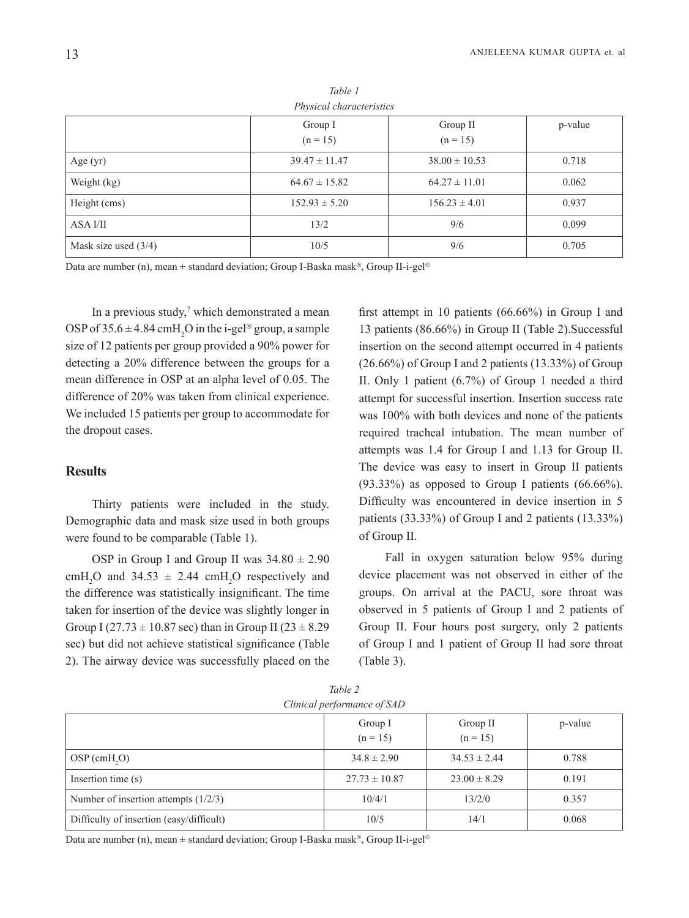|                        | Group I<br>$(n = 15)$ | Group II<br>$(n = 15)$ | p-value |  |
|------------------------|-----------------------|------------------------|---------|--|
| Age $(yr)$             | $39.47 \pm 11.47$     | $38.00 \pm 10.53$      | 0.718   |  |
| Weight (kg)            | $64.67 \pm 15.82$     | $64.27 \pm 11.01$      | 0.062   |  |
| Height (cms)           | $152.93 \pm 5.20$     | $156.23 \pm 4.01$      | 0.937   |  |
| ASA I/II               | 13/2                  | 9/6                    | 0.099   |  |
| Mask size used $(3/4)$ | 10/5                  | 9/6                    | 0.705   |  |

*1 Table characteristics Physical*

Data are number (n), mean  $\pm$  standard deviation; Group I-Baska mask®, Group II-i-gel®

In a previous study, $\alpha$  which demonstrated a mean OSP of  $35.6 \pm 4.84$  cmH<sub>2</sub>O in the i-gel<sup>®</sup> group, a sample size of 12 patients per group provided a 90% power for detecting a  $20\%$  difference between the groups for a mean difference in OSP at an alpha level of 0.05. The difference of 20% was taken from clinical experience. We included 15 patients per group to accommodate for the dropout cases.

#### **Results**

Thirty patients were included in the study. Demographic data and mask size used in both groups were found to be comparable (Table 1).

OSP in Group I and Group II was  $34.80 \pm 2.90$ cmH<sub>2</sub>O and 34.53  $\pm$  2.44 cmH<sub>2</sub>O respectively and the difference was statistically insignificant. The time taken for insertion of the device was slightly longer in Group I  $(27.73 \pm 10.87 \text{ sec})$  than in Group II  $(23 \pm 8.29$ sec) but did not achieve statistical significance (Table 2). The airway device was successfully placed on the

first attempt in 10 patients  $(66.66\%)$  in Group I and 13 patients  $(86.66\%)$  in Group II (Table 2). Successful. insertion on the second attempt occurred in 4 patients  $(26.66\%)$  of Group I and 2 patients  $(13.33\%)$  of Group II. Only 1 patient  $(6.7\%)$  of Group 1 needed a third attempt for successful insertion. Insertion success rate was 100% with both devices and none of the patients required tracheal intubation. The mean number of attempts was 1.4 for Group I and 1.13 for Group II. The device was easy to insert in Group II patients  $(93.33\%)$  as opposed to Group I patients  $(66.66\%).$ Difficulty was encountered in device insertion in 5 patients  $(33.33\%)$  of Group I and 2 patients  $(13.33\%)$ of Group II.

Fall in oxygen saturation below 95% during device placement was not observed in either of the groups. On arrival at the PACU, sore throat was observed in 5 patients of Group I and 2 patients of Group II. Four hours post surgery, only 2 patients of Group I and 1 patient of Group II had sore throat  $(Table 3)$ .

| Clinical performance of SAD              |                       |                        |         |  |
|------------------------------------------|-----------------------|------------------------|---------|--|
|                                          | Group I<br>$(n = 15)$ | Group II<br>$(n = 15)$ | p-value |  |
| $OSP$ (cmH <sub>2</sub> O)               | $34.8 \pm 2.90$       | $34.53 \pm 2.44$       | 0.788   |  |
| Insertion time $(s)$                     | $27.73 \pm 10.87$     | $23.00 \pm 8.29$       | 0.191   |  |
| Number of insertion attempts $(1/2/3)$   | 10/4/1                | 13/2/0                 | 0.357   |  |
| Difficulty of insertion (easy/difficult) | 10/5                  | 14/1                   | 0.068   |  |

*2 Table*

Data are number (n), mean  $\pm$  standard deviation; Group I-Baska mask<sup>®</sup>, Group II-i-gel<sup>®</sup>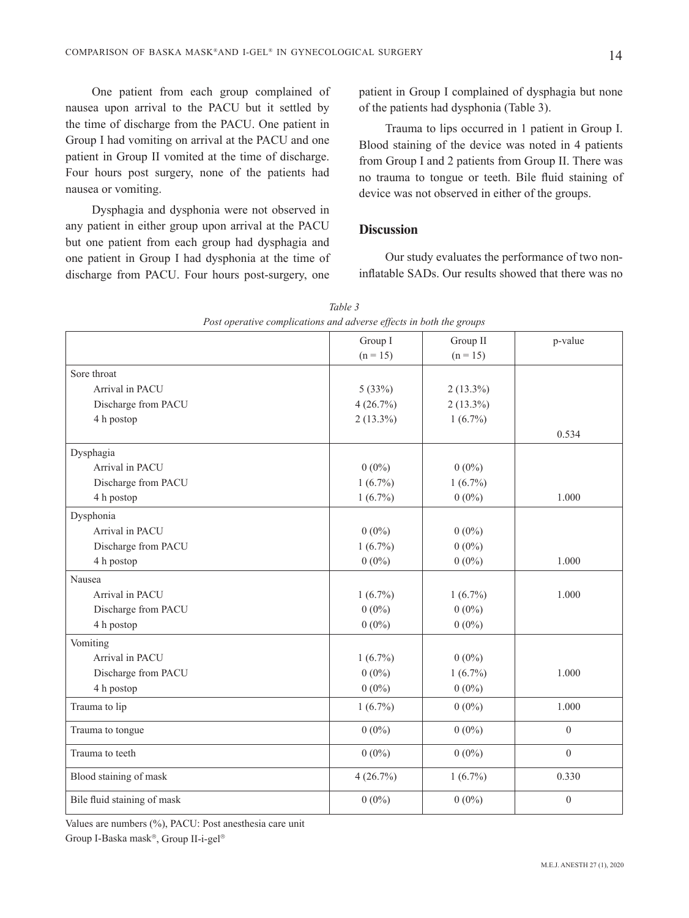One patient from each group complained of nausea upon arrival to the PACU but it settled by the time of discharge from the PACU. One patient in Group I had vomiting on arrival at the PACU and one patient in Group II vomited at the time of discharge. Four hours post surgery, none of the patients had nausea or vomiting.

Dysphagia and dysphonia were not observed in any patient in either group upon arrival at the PACU but one patient from each group had dysphagia and one patient in Group I had dysphonia at the time of discharge from PACU. Four hours post-surgery, one

patient in Group I complained of dysphagia but none of the patients had dysphonia (Table 3).

Trauma to lips occurred in 1 patient in Group I. Blood staining of the device was noted in 4 patients from Group I and 2 patients from Group II. There was no trauma to tongue or teeth. Bile fluid staining of device was not observed in either of the groups.

## **Discussion**

inflatable SADs. Our results showed that there was no Our study evaluates the performance of two non-

|                             | Group I<br>Group II |             | p-value          |  |  |
|-----------------------------|---------------------|-------------|------------------|--|--|
|                             | $(n = 15)$          | $(n = 15)$  |                  |  |  |
| Sore throat                 |                     |             |                  |  |  |
| Arrival in PACU             | 5(33%)              | $2(13.3\%)$ |                  |  |  |
| Discharge from PACU         | 4(26.7%)            | $2(13.3\%)$ |                  |  |  |
| 4 h postop                  | $2(13.3\%)$         | $1(6.7\%)$  |                  |  |  |
|                             |                     |             | 0.534            |  |  |
| Dysphagia                   |                     |             |                  |  |  |
| Arrival in PACU             | $0(0\%)$            | $0(0\%)$    |                  |  |  |
| Discharge from PACU         | $1(6.7\%)$          | $1(6.7\%)$  |                  |  |  |
| 4 h postop                  | $1(6.7\%)$          | $0(0\%)$    | 1.000            |  |  |
| Dysphonia                   |                     |             |                  |  |  |
| Arrival in PACU             | $0(0\%)$            | $0(0\%)$    |                  |  |  |
| Discharge from PACU         | $1(6.7\%)$          | $0(0\%)$    |                  |  |  |
| 4 h postop                  | $0(0\%)$            | $0(0\%)$    | 1.000            |  |  |
| Nausea                      |                     |             |                  |  |  |
| Arrival in PACU             | $1(6.7\%)$          | $1(6.7\%)$  | 1.000            |  |  |
| Discharge from PACU         | $0(0\%)$            | $0(0\%)$    |                  |  |  |
| 4 h postop                  | $0(0\%)$            | $0(0\%)$    |                  |  |  |
| Vomiting                    |                     |             |                  |  |  |
| Arrival in PACU             | $1(6.7\%)$          | $0(0\%)$    |                  |  |  |
| Discharge from PACU         | $0(0\%)$            | $1(6.7\%)$  | 1.000            |  |  |
| 4 h postop                  | $0(0\%)$            | $0(0\%)$    |                  |  |  |
| Trauma to lip               | $1(6.7\%)$          | $0(0\%)$    | 1.000            |  |  |
| Trauma to tongue            | $0(0\%)$            | $0(0\%)$    | $\boldsymbol{0}$ |  |  |
| Trauma to teeth             | $0(0\%)$            | $0(0\%)$    | $\overline{0}$   |  |  |
| Blood staining of mask      | 4(26.7%)            | $1(6.7\%)$  | 0.330            |  |  |
| Bile fluid staining of mask | $0(0\%)$            | $0(0\%)$    | $\overline{0}$   |  |  |

| Table 3                                                             |  |  |  |  |  |  |  |
|---------------------------------------------------------------------|--|--|--|--|--|--|--|
| Post operative complications and adverse effects in both the groups |  |  |  |  |  |  |  |

Values are numbers (%), PACU: Post anesthesia care unit

Group I-Baska mask®, Group II-i-gel®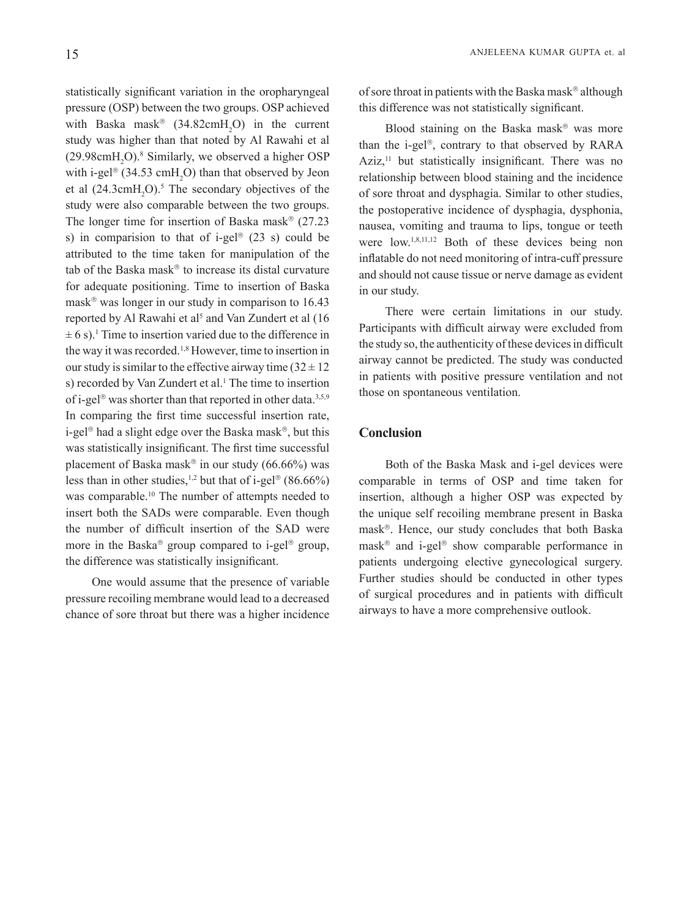statistically significant variation in the oropharyngeal pressure (OSP) between the two groups. OSP achieved with Baska mask<sup>®</sup> (34.82 cm H<sub>2</sub>O) in the current study was higher than that noted by Al Rawahi et al  $(29.98 \text{cm} \text{H}_2 \text{O})$ .<sup>8</sup> Similarly, we observed a higher OSP with i-gel<sup>®</sup> (34.53 cmH<sub>2</sub>O) than that observed by Jeon et al  $(24.3 \text{cm}H_2O)$ .<sup>5</sup> The secondary objectives of the study were also comparable between the two groups. The longer time for insertion of Baska mask<sup>®</sup>  $(27.23)$ s) in comparision to that of i-gel<sup>®</sup> (23 s) could be attributed to the time taken for manipulation of the tab of the Baska mask<sup>®</sup> to increase its distal curvature for adequate positioning. Time to insertion of Baska mask<sup>®</sup> was longer in our study in comparison to  $16.43$ reported by Al Rawahi et al<sup>5</sup> and Van Zundert et al  $(16)$  $\pm$  6 s).<sup>1</sup> Time to insertion varied due to the difference in the way it was recorded.<sup>1,8</sup> However, time to insertion in our study is similar to the effective airway time  $(32 \pm 12)$ s) recorded by Van Zundert et al.<sup>1</sup> The time to insertion of i-gel<sup>®</sup> was shorter than that reported in other data.<sup>3,5,9</sup> In comparing the first time successful insertion rate. i-gel<sup>®</sup> had a slight edge over the Baska mask<sup>®</sup>, but this was statistically insignificant. The first time successful placement of Baska mask® in our study  $(66.66\%)$  was less than in other studies,<sup>1,2</sup> but that of i-gel<sup>®</sup> (86.66%) was comparable.<sup>10</sup> The number of attempts needed to insert both the SADs were comparable. Even though the number of difficult insertion of the SAD were more in the Baska<sup>®</sup> group compared to i-gel<sup>®</sup> group, the difference was statistically insignificant.

One would assume that the presence of variable pressure recoiling membrane would lead to a decreased chance of sore throat but there was a higher incidence of sore throat in patients with the Baska mask® although this difference was not statistically significant.

Blood staining on the Baska mask® was more than the i-gel<sup>®</sup>, contrary to that observed by RARA Aziz, $\frac{11}{1}$  but statistically insignificant. There was no relationship between blood staining and the incidence of sore throat and dysphagia. Similar to other studies, the postoperative incidence of dysphagia, dysphonia, nausea, vomiting and trauma to lips, tongue or teeth were  $\text{low.}^{1,8,11,12}$  Both of these devices being non inflatable do not need monitoring of intra-cuff pressure and should not cause tissue or nerve damage as evident in our study.

There were certain limitations in our study. Participants with difficult airway were excluded from the study so, the authenticity of these devices in difficult airway cannot be predicted. The study was conducted in patients with positive pressure ventilation and not those on spontaneous ventilation.

#### **Conclusion**

Both of the Baska Mask and i-gel devices were comparable in terms of OSP and time taken for insertion, although a higher OSP was expected by the unique self recoiling membrane present in Baska  $mask<sup>®</sup>$ . Hence, our study concludes that both Baska mask<sup>®</sup> and i-gel<sup>®</sup> show comparable performance in patients undergoing elective gynecological surgery. Further studies should be conducted in other types of surgical procedures and in patients with difficult airways to have a more comprehensive outlook.